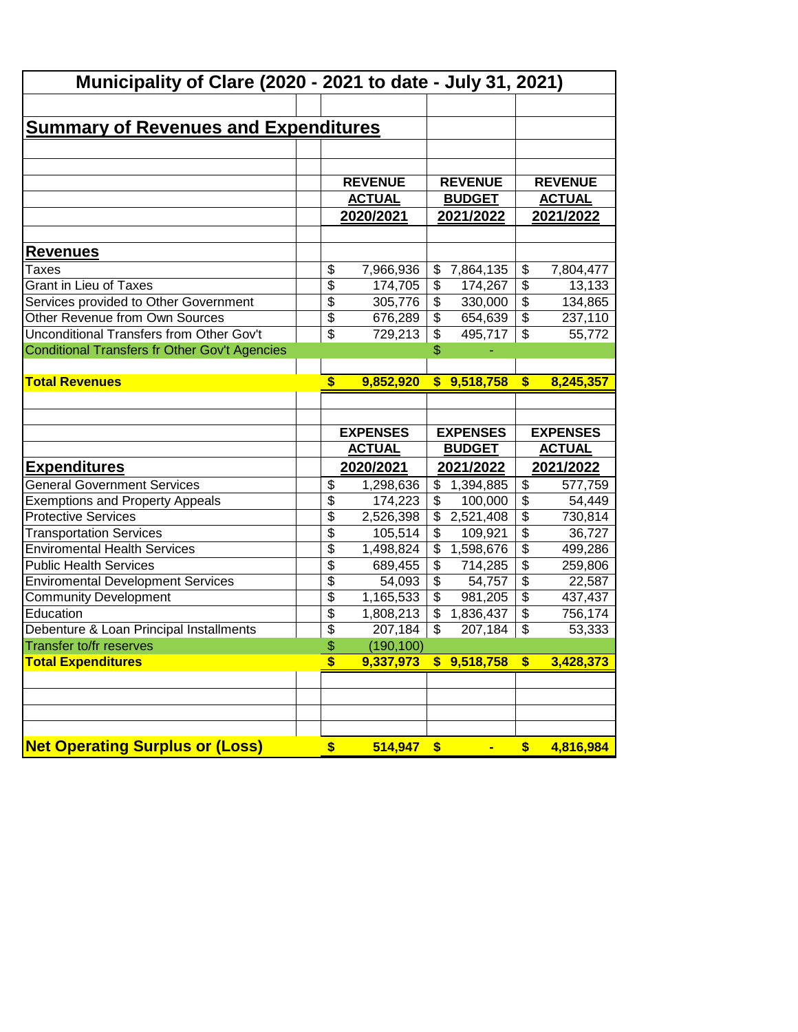|                                               |                         | <b>Municipality of Clare (2020 - 2021 to date - July 31, 2021)</b> |                          |                 |                          |                  |  |  |
|-----------------------------------------------|-------------------------|--------------------------------------------------------------------|--------------------------|-----------------|--------------------------|------------------|--|--|
|                                               |                         |                                                                    |                          |                 |                          |                  |  |  |
| <u>Summary of Revenues and Expenditures</u>   |                         |                                                                    |                          |                 |                          |                  |  |  |
|                                               |                         |                                                                    |                          |                 |                          |                  |  |  |
|                                               |                         |                                                                    |                          |                 |                          |                  |  |  |
|                                               |                         | <b>REVENUE</b>                                                     |                          | <b>REVENUE</b>  |                          | <b>REVENUE</b>   |  |  |
|                                               |                         | <b>ACTUAL</b>                                                      |                          | <b>BUDGET</b>   |                          | <b>ACTUAL</b>    |  |  |
|                                               |                         | 2020/2021                                                          |                          | 2021/2022       |                          | <u>2021/2022</u> |  |  |
|                                               |                         |                                                                    |                          |                 |                          |                  |  |  |
| <u>Revenues</u>                               |                         |                                                                    |                          |                 |                          |                  |  |  |
| Taxes                                         | \$                      | 7,966,936                                                          | \$                       | 7,864,135       | \$                       | 7,804,477        |  |  |
| <b>Grant in Lieu of Taxes</b>                 | $\overline{\$}$         | 174,705                                                            | \$                       | 174,267         | $\overline{\$}$          | 13,133           |  |  |
| Services provided to Other Government         | $\overline{\$}$         | 305,776                                                            | \$                       | 330,000         | $\overline{\$}$          | 134,865          |  |  |
| <b>Other Revenue from Own Sources</b>         | $\overline{\$}$         | 676,289                                                            | \$                       | 654,639         | $\overline{\mathcal{E}}$ | 237,110          |  |  |
| Unconditional Transfers from Other Gov't      | $\overline{\$}$         | 729,213                                                            | $\overline{\mathcal{L}}$ | 495,717         | $\overline{\mathcal{L}}$ | 55,772           |  |  |
| Conditional Transfers fr Other Gov't Agencies |                         |                                                                    | \$                       |                 |                          |                  |  |  |
|                                               | $\overline{\mathbf{s}}$ |                                                                    |                          |                 | $\boldsymbol{s}$         |                  |  |  |
| <b>Total Revenues</b>                         |                         | 9,852,920                                                          |                          | \$9,518,758     |                          | 8,245,357        |  |  |
|                                               |                         |                                                                    |                          |                 |                          |                  |  |  |
|                                               |                         |                                                                    |                          |                 |                          |                  |  |  |
|                                               |                         |                                                                    |                          |                 |                          |                  |  |  |
|                                               |                         | <b>EXPENSES</b>                                                    |                          | <b>EXPENSES</b> |                          | <b>EXPENSES</b>  |  |  |
|                                               |                         | <b>ACTUAL</b>                                                      |                          | <b>BUDGET</b>   |                          | <b>ACTUAL</b>    |  |  |
| <u>Expenditures</u>                           |                         | 2020/2021                                                          |                          | 2021/2022       |                          | 2021/2022        |  |  |
| <b>General Government Services</b>            | \$                      | 1,298,636                                                          | \$                       | 1,394,885       | \$                       | 577,759          |  |  |
| <b>Exemptions and Property Appeals</b>        | $\overline{\$}$         | 174,223                                                            | \$                       | 100,000         | $\overline{\$}$          | 54,449           |  |  |
| <b>Protective Services</b>                    | $\overline{\$}$         | 2,526,398                                                          | \$                       | 2,521,408       | \$                       | 730,814          |  |  |
| <b>Transportation Services</b>                | $\overline{\$}$         | 105,514                                                            | $\overline{\$}$          | 109,921         | $\overline{\$}$          | 36,727           |  |  |
| <b>Enviromental Health Services</b>           | $\overline{\$}$         | 1,498,824                                                          | $\overline{\$}$          | 1,598,676       | $\overline{\$}$          | 499,286          |  |  |
| <b>Public Health Services</b>                 | \$                      | 689,455                                                            | \$                       | 714,285         | $\overline{\$}$          | 259,806          |  |  |
| <b>Enviromental Development Services</b>      | $\overline{\$}$         | 54,093                                                             | \$                       | 54,757          | $\overline{\mathcal{L}}$ | 22,587           |  |  |
| <b>Community Development</b>                  | \$                      | 1,165,533                                                          | \$                       | 981,205         | $\overline{\$}$          | 437,437          |  |  |
| Education                                     | \$                      | 1,808,213                                                          | \$                       | 1,836,437       | \$                       | 756,174          |  |  |
| Debenture & Loan Principal Installments       | \$                      | 207,184                                                            | \$                       | 207,184         | $\overline{\mathcal{L}}$ | 53,333           |  |  |
| Transfer to/fr reserves                       | \$                      | (190, 100)                                                         |                          |                 |                          |                  |  |  |
| <b>Total Expenditures</b>                     | \$                      | 9,337,973                                                          | \$.                      | 9,518,758       | \$                       | 3,428,373        |  |  |
|                                               |                         |                                                                    |                          |                 |                          |                  |  |  |
|                                               |                         |                                                                    |                          |                 |                          |                  |  |  |
|                                               |                         |                                                                    |                          |                 |                          |                  |  |  |
| <b>Net Operating Surplus or (Loss)</b>        | \$                      | 514,947                                                            | $\sqrt[6]{3}$            | $\blacksquare$  | \$                       | 4,816,984        |  |  |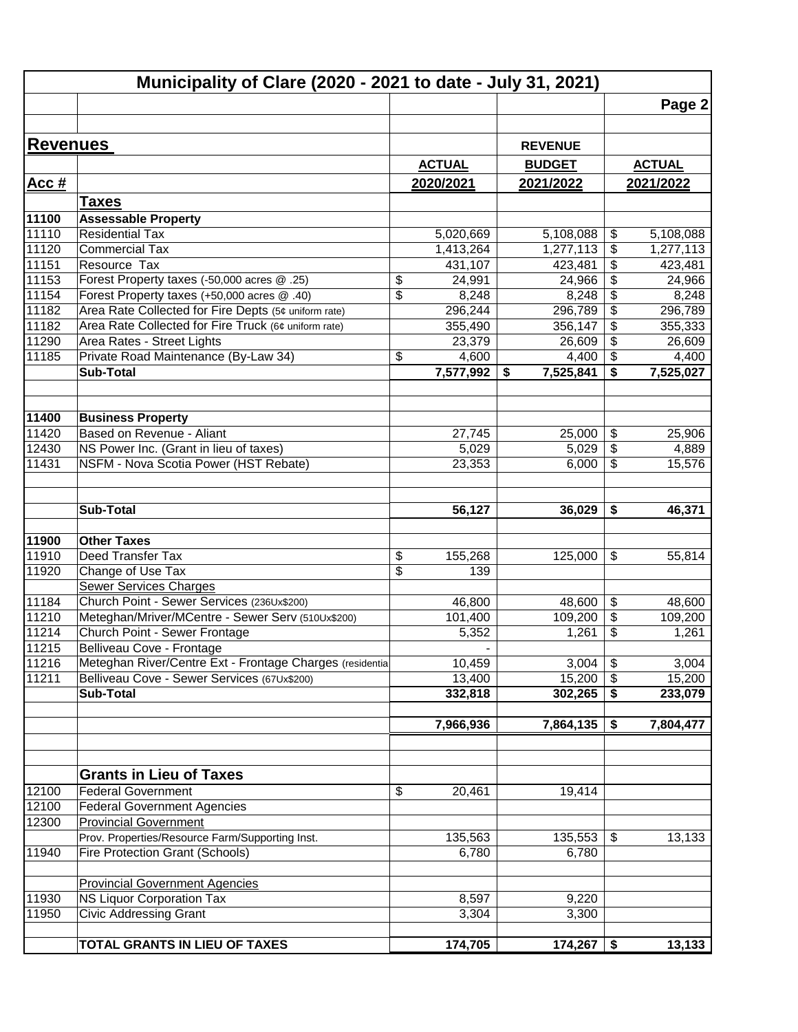|                 | Municipality of Clare (2020 - 2021 to date - July 31, 2021) |                 |                          |                |                           |               |
|-----------------|-------------------------------------------------------------|-----------------|--------------------------|----------------|---------------------------|---------------|
|                 |                                                             |                 |                          |                |                           | Page 2        |
|                 |                                                             |                 |                          |                |                           |               |
| <b>Revenues</b> |                                                             |                 |                          | <b>REVENUE</b> |                           |               |
|                 |                                                             |                 | <b>ACTUAL</b>            | <b>BUDGET</b>  |                           | <b>ACTUAL</b> |
| <u>Acc #</u>    |                                                             |                 | 2020/2021                | 2021/2022      |                           | 2021/2022     |
|                 | <b>Taxes</b>                                                |                 |                          |                |                           |               |
|                 | <b>Assessable Property</b>                                  |                 |                          |                |                           |               |
| 11100<br>11110  | <b>Residential Tax</b>                                      |                 | 5,020,669                | 5,108,088      | \$                        | 5,108,088     |
| 11120           | <b>Commercial Tax</b>                                       |                 | 1,413,264                | 1,277,113      | \$                        | 1,277,113     |
| 11151           | Resource Tax                                                |                 | 431,107                  | 423,481        | \$                        | 423,481       |
| 11153           | Forest Property taxes (-50,000 acres @ .25)                 | \$              | 24,991                   | 24,966         | $\overline{\mathcal{S}}$  | 24,966        |
| 11154           | Forest Property taxes (+50,000 acres @ .40)                 | $\overline{\$}$ | 8,248                    | 8,248          | $\overline{\mathbf{e}}$   | 8,248         |
| 11182           | Area Rate Collected for Fire Depts (5¢ uniform rate)        |                 | 296,244                  | 296,789        | $\overline{\mathbf{e}}$   | 296,789       |
| 11182           | Area Rate Collected for Fire Truck (6¢ uniform rate)        |                 | 355,490                  | 356,147        | $\overline{\mathbf{e}}$   | 355,333       |
| 11290           | Area Rates - Street Lights                                  |                 | 23,379                   | 26,609         | $\overline{\$}$           | 26,609        |
| 11185           | Private Road Maintenance (By-Law 34)                        | \$              | 4,600                    | 4,400          | $\overline{\mathcal{S}}$  | 4,400         |
|                 | <b>Sub-Total</b>                                            |                 | 7,577,992                | 7,525,841<br>S | \$                        | 7,525,027     |
|                 |                                                             |                 |                          |                |                           |               |
| 11400           | <b>Business Property</b>                                    |                 |                          |                |                           |               |
| 11420           | Based on Revenue - Aliant                                   |                 | 27,745                   | 25,000         | \$                        | 25,906        |
| 12430           | NS Power Inc. (Grant in lieu of taxes)                      |                 | 5,029                    | 5,029          | \$                        | 4,889         |
| 11431           | NSFM - Nova Scotia Power (HST Rebate)                       |                 | 23,353                   | 6,000          | \$                        | 15,576        |
|                 |                                                             |                 |                          |                |                           |               |
|                 |                                                             |                 |                          |                |                           |               |
|                 | Sub-Total                                                   |                 | 56,127                   | 36,029         | \$                        | 46,371        |
|                 |                                                             |                 |                          |                |                           |               |
| 11900           | <b>Other Taxes</b>                                          |                 |                          |                |                           |               |
| 11910           | Deed Transfer Tax                                           | \$              | 155,268                  | 125,000        | \$                        | 55,814        |
| 11920           | Change of Use Tax                                           | $\overline{\$}$ | 139                      |                |                           |               |
|                 | <b>Sewer Services Charges</b>                               |                 |                          |                |                           |               |
| 11184           | Church Point - Sewer Services (236Ux\$200)                  |                 | 46,800                   | 48,600         | \$                        | 48,600        |
| 11210           | Meteghan/Mriver/MCentre - Sewer Serv (510Ux\$200)           |                 | 101,400                  | 109,200        | \$                        | 109,200       |
| 11214           | Church Point - Sewer Frontage                               |                 | 5,352                    | 1,261          | \$                        | 1,261         |
| 11215           | Belliveau Cove - Frontage                                   |                 | $\overline{\phantom{a}}$ |                |                           |               |
| 11216           | Meteghan River/Centre Ext - Frontage Charges (residential   |                 | 10,459                   | 3,004          | $\boldsymbol{\mathsf{S}}$ | 3,004         |
| 11211           | Belliveau Cove - Sewer Services (67Ux\$200)                 |                 | 13,400                   | 15,200         | $\boldsymbol{\mathsf{S}}$ | 15,200        |
|                 | <b>Sub-Total</b>                                            |                 | 332,818                  | 302,265        | \$                        | 233,079       |
|                 |                                                             |                 |                          |                |                           |               |
|                 |                                                             |                 | 7,966,936                | 7,864,135      | \$                        | 7,804,477     |
|                 |                                                             |                 |                          |                |                           |               |
|                 | <b>Grants in Lieu of Taxes</b>                              |                 |                          |                |                           |               |
| 12100           | <b>Federal Government</b>                                   | \$              | 20,461                   | 19,414         |                           |               |
| 12100           | <b>Federal Government Agencies</b>                          |                 |                          |                |                           |               |
| 12300           | <b>Provincial Government</b>                                |                 |                          |                |                           |               |
|                 | Prov. Properties/Resource Farm/Supporting Inst.             |                 | 135,563                  | 135,553        | \$                        | 13,133        |
| 11940           | <b>Fire Protection Grant (Schools)</b>                      |                 | 6,780                    | 6,780          |                           |               |
|                 |                                                             |                 |                          |                |                           |               |
|                 | <b>Provincial Government Agencies</b>                       |                 |                          |                |                           |               |
| 11930           | <b>NS Liquor Corporation Tax</b>                            |                 | 8,597                    | 9,220          |                           |               |
| 11950           | <b>Civic Addressing Grant</b>                               |                 | 3,304                    | 3,300          |                           |               |
|                 |                                                             |                 |                          |                |                           |               |
|                 | TOTAL GRANTS IN LIEU OF TAXES                               |                 | 174,705                  | 174,267        | \$                        | 13,133        |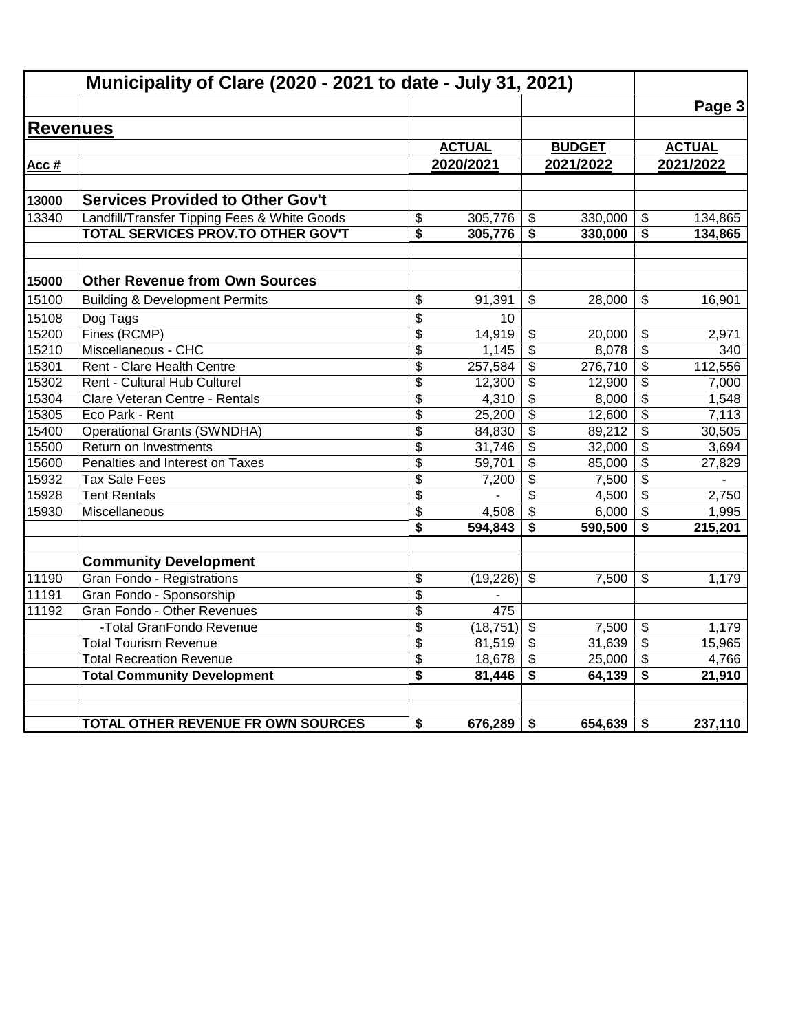|                 | Municipality of Clare (2020 - 2021 to date - July 31, 2021) |                       |                   |                                 |                   |                                      |                  |
|-----------------|-------------------------------------------------------------|-----------------------|-------------------|---------------------------------|-------------------|--------------------------------------|------------------|
|                 |                                                             |                       |                   |                                 |                   |                                      | Page 3           |
| <b>Revenues</b> |                                                             |                       |                   |                                 |                   |                                      |                  |
|                 |                                                             |                       | <b>ACTUAL</b>     |                                 | <b>BUDGET</b>     |                                      | <b>ACTUAL</b>    |
| Acc #           |                                                             |                       | 2020/2021         |                                 | 2021/2022         |                                      | 2021/2022        |
|                 |                                                             |                       |                   |                                 |                   |                                      |                  |
| 13000           | <b>Services Provided to Other Gov't</b>                     |                       |                   |                                 |                   |                                      |                  |
| 13340           | Landfill/Transfer Tipping Fees & White Goods                | \$                    | 305,776           | \$                              | 330,000           | \$                                   | 134,865          |
|                 | TOTAL SERVICES PROV.TO OTHER GOV'T                          | \$                    | 305,776           | \$                              | 330,000           | \$                                   | 134,865          |
| 15000           | <b>Other Revenue from Own Sources</b>                       |                       |                   |                                 |                   |                                      |                  |
| 15100           |                                                             |                       |                   | \$                              | 28,000            | $\mathbb{S}$                         |                  |
|                 | <b>Building &amp; Development Permits</b>                   | \$                    | 91,391            |                                 |                   |                                      | 16,901           |
| 15108           | Dog Tags                                                    | \$                    | 10                |                                 |                   |                                      |                  |
| 15200           | Fines (RCMP)<br>Miscellaneous - CHC                         | \$<br>$\overline{\$}$ | 14,919            | \$<br>$\overline{\mathfrak{s}}$ | 20,000            | \$<br>$\overline{\$}$                | 2,971            |
| 15210<br>15301  | Rent - Clare Health Centre                                  | \$                    | 1,145             |                                 | 8,078             |                                      | 340              |
| 15302           | Rent - Cultural Hub Culturel                                | \$                    | 257,584<br>12,300 | $\overline{\mathbf{e}}$<br>\$   | 276,710<br>12,900 | \$<br>\$                             | 112,556<br>7,000 |
| 15304           | Clare Veteran Centre - Rentals                              | \$                    | 4,310             | $\overline{\mathbf{3}}$         | 8,000             | $\overline{\boldsymbol{\mathsf{s}}}$ | 1,548            |
| 15305           | Eco Park - Rent                                             | \$                    | 25,200            | \$                              | 12,600            | $\overline{\mathcal{S}}$             | 7,113            |
| 15400           | <b>Operational Grants (SWNDHA)</b>                          | \$                    | 84,830            | $\overline{\mathbf{3}}$         | 89,212            | \$                                   | 30,505           |
| 15500           | Return on Investments                                       | $\overline{\$}$       | 31,746            | $\overline{\mathbf{3}}$         | 32,000            | $\overline{\boldsymbol{\mathsf{s}}}$ | 3,694            |
| 15600           | Penalties and Interest on Taxes                             | \$                    | 59,701            | \$                              | 85,000            | \$                                   | 27,829           |
| 15932           | <b>Tax Sale Fees</b>                                        | \$                    | 7,200             | \$                              | 7,500             | $\frac{1}{2}$                        |                  |
| 15928           | <b>Tent Rentals</b>                                         | \$                    |                   | \$                              | 4,500             | \$                                   | 2,750            |
| 15930           | Miscellaneous                                               | \$                    | 4,508             | $\overline{\mathbf{3}}$         | 6,000             | \$                                   | 1,995            |
|                 |                                                             | \$                    | 594,843           | \$                              | 590,500           | \$                                   | 215,201          |
|                 | <b>Community Development</b>                                |                       |                   |                                 |                   |                                      |                  |
| 11190           | Gran Fondo - Registrations                                  | \$                    | (19,226)          | $\mathfrak{S}$                  | 7,500             | \$                                   | 1,179            |
| 11191           | Gran Fondo - Sponsorship                                    | \$                    |                   |                                 |                   |                                      |                  |
| 11192           | Gran Fondo - Other Revenues                                 | \$                    | 475               |                                 |                   |                                      |                  |
|                 | -Total GranFondo Revenue                                    | \$                    | (18, 751)         | $\overline{\mathbf{s}}$         | 7,500             | \$                                   | 1,179            |
|                 | <b>Total Tourism Revenue</b>                                | \$                    | 81,519            | \$                              | 31,639            | \$                                   | 15,965           |
|                 | <b>Total Recreation Revenue</b>                             | \$                    | 18,678            | \$                              | 25,000            | $\overline{\mathbf{e}}$              | 4,766            |
|                 | <b>Total Community Development</b>                          | \$                    | 81,446            | \$                              | 64,139            | \$                                   | 21,910           |
|                 | TOTAL OTHER REVENUE FR OWN SOURCES                          | \$                    | 676,289           | \$                              | 654,639           | \$                                   | 237,110          |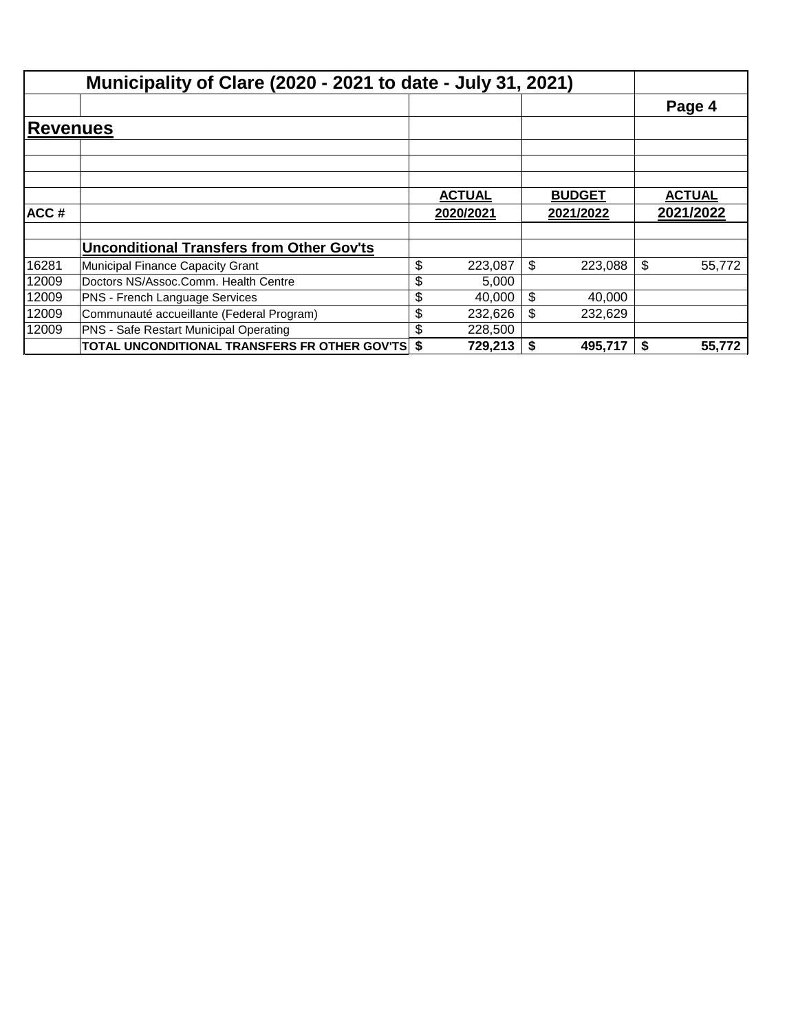|                 | Municipality of Clare (2020 - 2021 to date - July 31, 2021) |               |               |               |
|-----------------|-------------------------------------------------------------|---------------|---------------|---------------|
|                 |                                                             |               |               | Page 4        |
| <b>Revenues</b> |                                                             |               |               |               |
|                 |                                                             |               |               |               |
|                 |                                                             |               |               |               |
|                 |                                                             |               |               |               |
|                 |                                                             | <b>ACTUAL</b> | <b>BUDGET</b> | <b>ACTUAL</b> |
| ACC#            |                                                             | 2020/2021     | 2021/2022     | 2021/2022     |
|                 |                                                             |               |               |               |
|                 | <b>Unconditional Transfers from Other Gov'ts</b>            |               |               |               |
| 16281           | Municipal Finance Capacity Grant                            | \$<br>223,087 | \$<br>223,088 | \$<br>55,772  |
| 12009           | Doctors NS/Assoc.Comm. Health Centre                        | \$<br>5,000   |               |               |
| 12009           | PNS - French Language Services                              | \$<br>40,000  | \$<br>40,000  |               |
| 12009           | Communauté accueillante (Federal Program)                   | \$<br>232,626 | \$<br>232,629 |               |
| 12009           | <b>PNS - Safe Restart Municipal Operating</b>               | 228,500       |               |               |
|                 | <b>TOTAL UNCONDITIONAL TRANSFERS FR OTHER GOV'TS \$</b>     | 729,213       | \$<br>495,717 | 55,772        |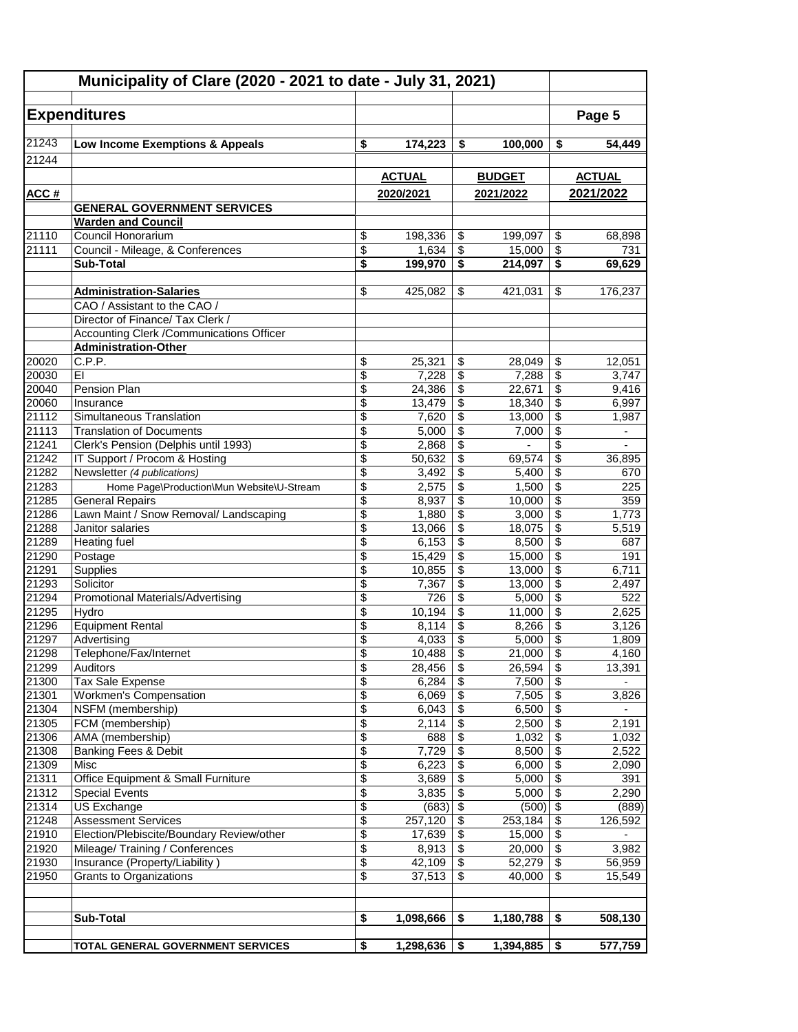|                | Municipality of Clare (2020 - 2021 to date - July 31, 2021) |                          |                 |                          |                 |                                             |                          |
|----------------|-------------------------------------------------------------|--------------------------|-----------------|--------------------------|-----------------|---------------------------------------------|--------------------------|
|                |                                                             |                          |                 |                          |                 |                                             |                          |
|                | <b>Expenditures</b>                                         |                          |                 |                          |                 |                                             | Page 5                   |
| 21243          | Low Income Exemptions & Appeals                             | \$                       | 174,223         | \$                       | 100,000         | \$                                          | 54,449                   |
| 21244          |                                                             |                          |                 |                          |                 |                                             |                          |
|                |                                                             |                          | <b>ACTUAL</b>   |                          | <b>BUDGET</b>   |                                             | <b>ACTUAL</b>            |
| ACC#           |                                                             |                          | 2020/2021       |                          | 2021/2022       |                                             | 2021/2022                |
|                | <b>GENERAL GOVERNMENT SERVICES</b>                          |                          |                 |                          |                 |                                             |                          |
|                | <b>Warden and Council</b>                                   |                          |                 |                          |                 |                                             |                          |
| 21110          | Council Honorarium                                          | \$                       | 198,336         | \$                       | 199,097         | \$                                          | 68,898                   |
| 21111          | Council - Mileage, & Conferences                            | \$                       | 1,634           | \$                       | 15,000          | $\overline{\mathcal{S}}$                    | 731                      |
|                | <b>Sub-Total</b>                                            | \$                       | 199,970         | \$                       | 214,097         | $\overline{\boldsymbol{\mathsf{s}}}$        | 69,629                   |
|                | <b>Administration-Salaries</b>                              | \$                       | 425,082         | \$                       | 421,031         | \$                                          | 176,237                  |
|                | CAO / Assistant to the CAO /                                |                          |                 |                          |                 |                                             |                          |
|                | Director of Finance/ Tax Clerk /                            |                          |                 |                          |                 |                                             |                          |
|                | Accounting Clerk / Communications Officer                   |                          |                 |                          |                 |                                             |                          |
|                | <b>Administration-Other</b>                                 |                          |                 |                          |                 |                                             |                          |
| 20020          | C.P.P.                                                      | \$                       | 25,321          | \$                       | 28,049          | \$                                          | 12,051                   |
| 20030          | EI                                                          | \$                       | 7,228           | \$                       | 7,288           | $\overline{\mathbf{3}}$                     | 3,747                    |
| 20040          | Pension Plan                                                | \$                       | 24,386          | \$                       | 22,671          | $\overline{\mathcal{E}}$                    | 9,416                    |
| 20060          | Insurance                                                   | \$                       | 13,479          | \$                       | 18,340          | $\overline{\$}$                             | 6,997                    |
| 21112          | Simultaneous Translation                                    | \$                       | 7,620           | \$                       | 13,000          | $\sqrt{3}$                                  | 1,987                    |
| 21113          | <b>Translation of Documents</b>                             | \$                       | 5,000           | \$                       | 7,000           | \$                                          | $\overline{\phantom{0}}$ |
| 21241          | Clerk's Pension (Delphis until 1993)                        | \$                       | 2,868           | \$                       | $\blacksquare$  | $\overline{\$}$                             |                          |
| 21242          | IT Support / Procom & Hosting                               | \$                       | 50,632          | \$                       | 69,574          | $\overline{\mathbf{3}}$                     | 36,895                   |
| 21282          | Newsletter (4 publications)                                 | \$                       | 3,492           | \$                       | 5,400           | $\overline{\mathbf{S}}$                     | 670                      |
| 21283          | Home Page\Production\Mun Website\U-Stream                   | \$                       | 2,575           | \$                       | 1,500           | \$                                          | 225                      |
| 21285          | <b>General Repairs</b>                                      | \$                       | 8,937           | \$                       | 10,000          | $\overline{\mathcal{E}}$                    | 359                      |
| 21286          | Lawn Maint / Snow Removal/ Landscaping                      | \$                       | 1,880           | \$                       | 3,000           | $\overline{\$}$                             | 1,773                    |
| 21288          | Janitor salaries                                            | \$                       | 13,066          | \$                       | 18,075          | $\overline{\mathcal{L}}$                    | 5,519                    |
| 21289          | Heating fuel                                                | $\overline{\$}$          | 6,153           | \$                       | 8,500           | $\overline{\$}$                             | 687                      |
| 21290          | Postage                                                     | \$                       | 15,429          | \$                       | 15,000          | $\overline{\mathbf{3}}$                     | 191                      |
| 21291          | Supplies                                                    | $\overline{\$}$          | 10,855          | $\overline{\mathcal{S}}$ | 13,000          | $\overline{\$}$                             | 6,711                    |
| 21293          | Solicitor                                                   | \$                       | 7,367           | \$                       | 13,000          | $\overline{\mathbf{s}}$                     | 2,497                    |
| 21294          | Promotional Materials/Advertising                           | \$                       | 726             | \$                       | 5,000           | $\overline{\$}$                             | 522                      |
| 21295          | Hydro                                                       | \$                       | 10,194          | \$                       | 11,000          | $\overline{\mathbf{s}}$                     | 2,625                    |
| 21296          | <b>Equipment Rental</b>                                     | $\overline{\$}$          | 8,114           | $\overline{\mathcal{S}}$ | 8,266           | $\overline{\$}$                             | 3,126                    |
| 21297<br>21298 | Advertising                                                 | \$                       | 4,033           | \$                       | 5,000           | $\overline{\mathcal{E}}$<br>$\overline{\$}$ | 1,809                    |
| 21299          | Telephone/Fax/Internet                                      | \$<br>\$                 | 10,488          | \$                       | 21,000          |                                             | 4,160                    |
| 21300          | Auditors<br>Tax Sale Expense                                | \$                       | 28,456<br>6,284 | \$<br>\$                 | 26,594<br>7,500 | \$<br>\$                                    | 13,391<br>$\blacksquare$ |
| 21301          | Workmen's Compensation                                      | $\overline{\$}$          | 6,069           | \$                       | 7,505           | $\overline{\$}$                             | 3,826                    |
| 21304          | NSFM (membership)                                           | \$                       | 6,043           | \$                       | 6,500           | $\overline{\$}$                             |                          |
| 21305          | FCM (membership)                                            | \$                       | 2,114           | \$                       | 2,500           | $\overline{\mathbf{e}}$                     | 2,191                    |
| 21306          | AMA (membership)                                            | \$                       | 688             | \$                       | 1,032           | \$                                          | 1,032                    |
| 21308          | Banking Fees & Debit                                        | $\overline{\mathcal{E}}$ | 7,729           | $\sqrt[6]{\frac{1}{2}}$  | 8,500           | $\overline{\$}$                             | 2,522                    |
| 21309          | Misc                                                        | $\overline{\$}$          | 6,223           | \$                       | 6,000           | $\overline{\$}$                             | 2,090                    |
| 21311          | Office Equipment & Small Furniture                          | \$                       | 3,689           | \$                       | 5,000           | $\sqrt[6]{\frac{1}{2}}$                     | 391                      |
| 21312          | <b>Special Events</b>                                       | $\overline{\mathcal{L}}$ | 3,835           | \$                       | 5,000           | $\overline{\$}$                             | 2,290                    |
| 21314          | US Exchange                                                 | \$                       | (683)           | $\sqrt[6]{\frac{1}{2}}$  | (500)           | $\overline{\boldsymbol{\mathfrak{s}}}$      | (889)                    |
| 21248          | <b>Assessment Services</b>                                  | \$                       | 257,120         | \$                       | 253,184         | $\sqrt{3}$                                  | 126,592                  |
| 21910          | Election/Plebiscite/Boundary Review/other                   | \$                       | 17,639          | \$                       | 15,000          | $\overline{\mathbf{3}}$                     |                          |
| 21920          | Mileage/Training / Conferences                              | \$                       | 8,913           | \$                       | 20,000          | $\sqrt[6]{3}$                               | 3,982                    |
| 21930          | Insurance (Property/Liability)                              | \$                       | 42,109          | \$                       | 52,279          | $\overline{\mathbf{e}}$                     | 56,959                   |
| 21950          | Grants to Organizations                                     | \$                       | 37,513          | \$                       | 40,000          | \$                                          | 15,549                   |
|                |                                                             |                          |                 |                          |                 |                                             |                          |
|                |                                                             |                          |                 |                          |                 |                                             |                          |
|                | Sub-Total                                                   | \$                       | 1,098,666       | \$                       | 1,180,788       | \$                                          | 508,130                  |
|                |                                                             |                          |                 |                          |                 |                                             |                          |
|                | TOTAL GENERAL GOVERNMENT SERVICES                           | \$                       | 1,298,636       | \$                       | 1,394,885       | \$                                          | 577,759                  |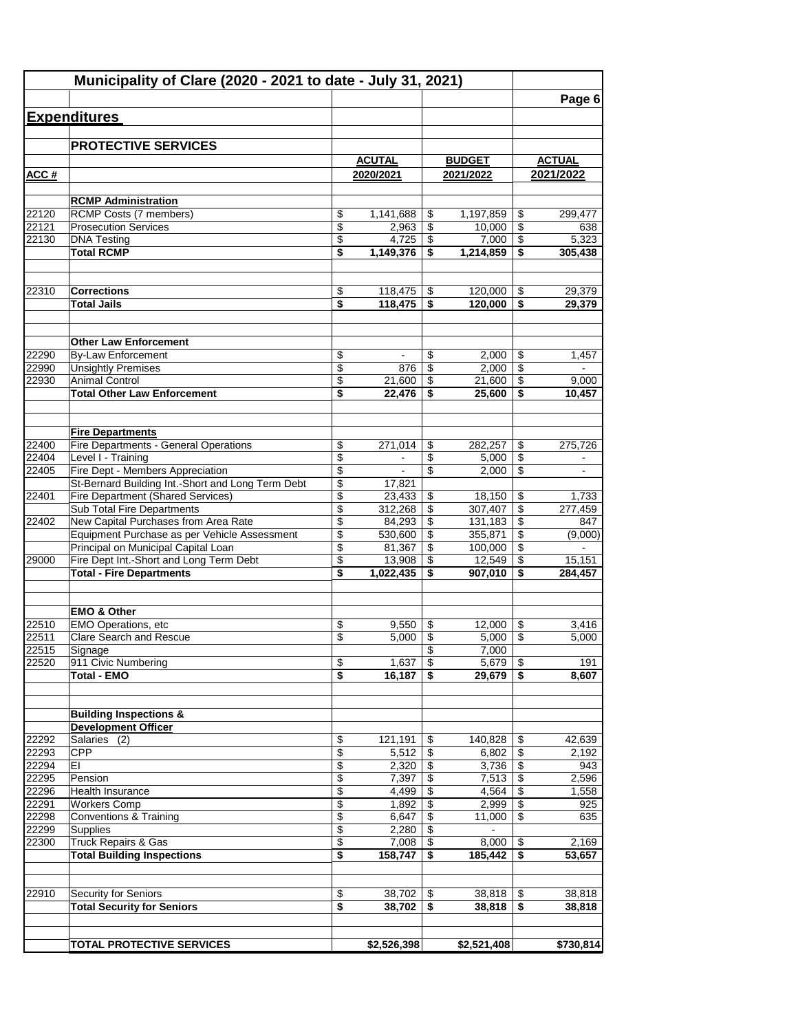|                | Municipality of Clare (2020 - 2021 to date - July 31, 2021)                                   |                                |                    |          |                     |                                    |                |
|----------------|-----------------------------------------------------------------------------------------------|--------------------------------|--------------------|----------|---------------------|------------------------------------|----------------|
|                |                                                                                               |                                |                    |          |                     |                                    | Page 6         |
|                | <b>Expenditures</b>                                                                           |                                |                    |          |                     |                                    |                |
|                | <b>PROTECTIVE SERVICES</b>                                                                    |                                |                    |          |                     |                                    |                |
|                |                                                                                               |                                | <b>ACUTAL</b>      |          | <b>BUDGET</b>       |                                    | <b>ACTUAL</b>  |
| ACC#           |                                                                                               |                                | 2020/2021          |          | 2021/2022           |                                    | 2021/2022      |
|                |                                                                                               |                                |                    |          |                     |                                    |                |
| 22120          | <b>RCMP Administration</b>                                                                    |                                |                    |          |                     |                                    |                |
| 22121          | RCMP Costs (7 members)<br><b>Prosecution Services</b>                                         | \$<br>$\overline{\mathcal{L}}$ | 1,141,688<br>2,963 | \$<br>\$ | 1,197,859<br>10,000 | \$<br>$\overline{\mathcal{S}}$     | 299,477<br>638 |
| 22130          | <b>DNA Testing</b>                                                                            | \$                             | 4,725              | \$       | 7,000               | $\overline{\$}$                    | 5,323          |
|                | <b>Total RCMP</b>                                                                             | \$                             | 1,149,376          | \$       | 1,214,859           | \$                                 | 305,438        |
|                |                                                                                               |                                |                    |          |                     |                                    |                |
| 22310          | <b>Corrections</b>                                                                            | \$                             | 118,475            | \$       | 120,000             | \$                                 | 29,379         |
|                | <b>Total Jails</b>                                                                            | \$                             | 118,475            | \$       | 120,000             | \$                                 | 29,379         |
|                | <b>Other Law Enforcement</b>                                                                  |                                |                    |          |                     |                                    |                |
| 22290          | <b>By-Law Enforcement</b>                                                                     | \$                             | $\blacksquare$     | \$       | 2,000               | \$                                 | 1,457          |
| 22990          | <b>Unsightly Premises</b>                                                                     | \$                             | 876                | \$       | 2,000               | \$                                 | $\blacksquare$ |
| 22930          | <b>Animal Control</b>                                                                         | \$                             | 21,600             | \$       | 21,600              | $\overline{\boldsymbol{\epsilon}}$ | 9,000          |
|                | <b>Total Other Law Enforcement</b>                                                            | \$                             | 22,476             | \$       | 25.600              | \$                                 | 10,457         |
|                | <b>Fire Departments</b>                                                                       |                                |                    |          |                     |                                    |                |
| 22400          | Fire Departments - General Operations                                                         | \$                             | 271,014            | \$       | 282,257             | \$                                 | 275,726        |
| 22404          | Level I - Training                                                                            | \$                             | $\blacksquare$     | \$       | 5,000               | $\overline{\$}$                    | $\blacksquare$ |
| 22405          | Fire Dept - Members Appreciation                                                              | \$                             | $\blacksquare$     | \$       | 2,000               | \$                                 | $\mathbf{r}$   |
| 22401          | St-Bernard Building Int.-Short and Long Term Debt<br><b>Fire Department (Shared Services)</b> | \$<br>\$                       | 17,821<br>23,433   | \$       | 18,150              | \$                                 | 1,733          |
|                | Sub Total Fire Departments                                                                    | \$                             | 312,268            | \$       | 307,407             | \$                                 | 277,459        |
| 22402          | New Capital Purchases from Area Rate                                                          | \$                             | 84,293             | \$       | 131,183             | \$                                 | 847            |
|                | Equipment Purchase as per Vehicle Assessment                                                  | \$                             | 530,600            | \$       | 355,871             | \$                                 | (9,000)        |
|                | Principal on Municipal Capital Loan                                                           | \$                             | 81,367             | \$       | 100,000             | $\overline{\$}$                    |                |
| 29000          | Fire Dept Int.-Short and Long Term Debt                                                       | \$                             | 13,908             | \$       | 12,549              | $\overline{\$}$                    | 15,151         |
|                | <b>Total - Fire Departments</b>                                                               | \$                             | 1,022,435          | \$       | 907,010             | \$                                 | 284,457        |
|                | <b>EMO &amp; Other</b>                                                                        |                                |                    |          |                     |                                    |                |
| 22510          | EMO Operations, etc                                                                           | \$                             | 9.550              | \$       | 12,000              | \$                                 | 3,416          |
| 22511          | Clare Search and Rescue                                                                       | \$                             | 5,000              | \$       | 5,000               | $\sqrt[6]{\frac{1}{2}}$            | 5,000          |
| 22515<br>22520 | Signage<br>911 Civic Numbering                                                                | $\boldsymbol{\theta}$          | 1,637              | \$<br>\$ | 7,000<br>5,679      | \$                                 | 191            |
|                | <b>Total - EMO</b>                                                                            | \$                             | 16,187             | \$       | 29,679              | \$                                 | 8,607          |
|                |                                                                                               |                                |                    |          |                     |                                    |                |
|                | <b>Building Inspections &amp;</b>                                                             |                                |                    |          |                     |                                    |                |
| 22292          | <b>Development Officer</b><br>Salaries (2)                                                    | \$                             | 121,191            | \$       | 140,828             | \$                                 | 42,639         |
| 22293          | <b>CPP</b>                                                                                    | \$                             | 5,512              | \$       | 6,802               | \$                                 | 2,192          |
| 22294          | EI                                                                                            | \$                             | 2,320              | \$       | 3,736               | $\overline{\$}$                    | 943            |
| 22295          | Pension                                                                                       | \$                             | 7,397              | \$       | 7,513               | $\overline{\mathbf{e}}$            | 2,596          |
| 22296          | Health Insurance                                                                              | \$                             | 4,499              | \$       | 4,564               | \$                                 | 1,558          |
| 22291          | <b>Workers Comp</b>                                                                           | \$                             | 1,892              | \$       | 2,999               | $\overline{\$}$                    | 925            |
| 22298<br>22299 | Conventions & Training<br>Supplies                                                            | $\overline{\$}$<br>\$          | 6,647<br>2,280     | \$<br>\$ | 11,000<br>$\sim$    | $\overline{\$}$                    | 635            |
| 22300          | <b>Truck Repairs &amp; Gas</b>                                                                | \$                             | 7,008              | \$       | 8,000               | \$                                 | 2,169          |
|                | <b>Total Building Inspections</b>                                                             | \$                             | 158,747            | \$       | 185,442             | \$                                 | 53,657         |
| 22910          | Security for Seniors                                                                          | \$                             |                    |          |                     |                                    | 38,818         |
|                | <b>Total Security for Seniors</b>                                                             | \$                             | 38,702<br>38,702   | \$<br>\$ | 38,818<br>38,818    | \$<br>\$                           | 38,818         |
|                |                                                                                               |                                |                    |          |                     |                                    |                |
|                | <b>TOTAL PROTECTIVE SERVICES</b>                                                              |                                | \$2,526,398        |          | \$2,521,408         |                                    | \$730,814      |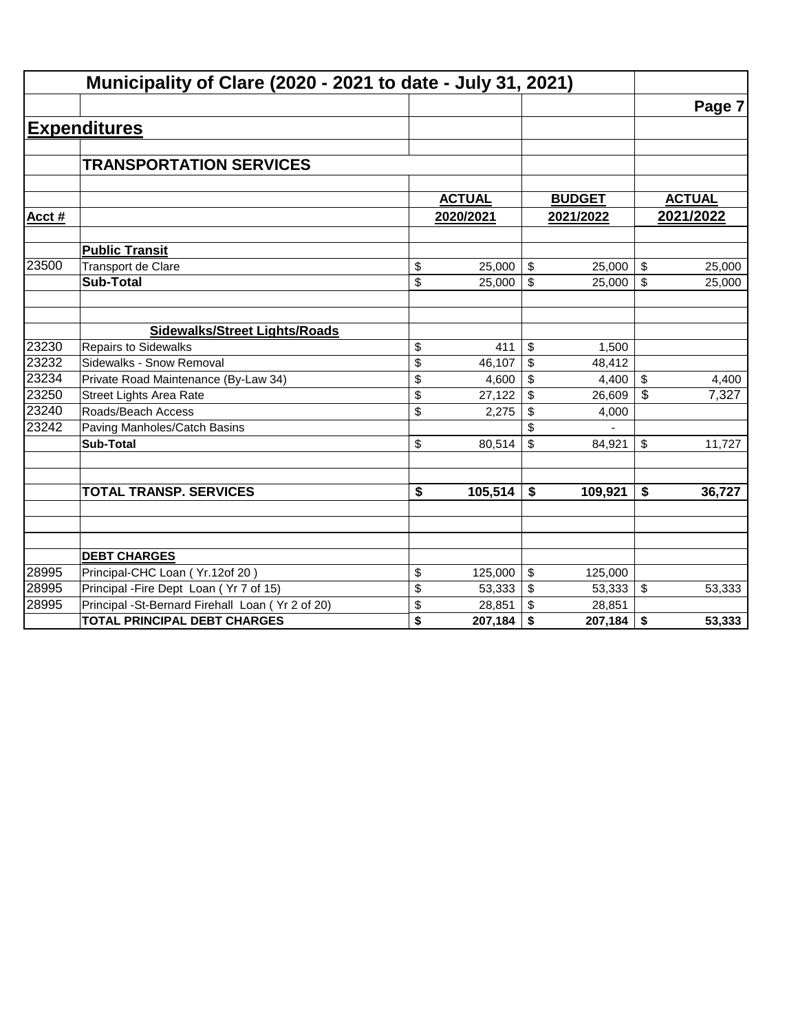|       | Municipality of Clare (2020 - 2021 to date - July 31, 2021) |                                      |               |                           |               |               |
|-------|-------------------------------------------------------------|--------------------------------------|---------------|---------------------------|---------------|---------------|
|       |                                                             |                                      |               |                           |               | Page 7        |
|       | <b>Expenditures</b>                                         |                                      |               |                           |               |               |
|       |                                                             |                                      |               |                           |               |               |
|       | <b>TRANSPORTATION SERVICES</b>                              |                                      |               |                           |               |               |
|       |                                                             |                                      |               |                           |               |               |
|       |                                                             |                                      | <b>ACTUAL</b> |                           | <b>BUDGET</b> | <b>ACTUAL</b> |
| Acct# |                                                             |                                      | 2020/2021     |                           | 2021/2022     | 2021/2022     |
|       | <b>Public Transit</b>                                       |                                      |               |                           |               |               |
| 23500 | Transport de Clare                                          | \$                                   | 25,000        | \$                        | 25,000        | \$<br>25,000  |
|       | <b>Sub-Total</b>                                            | \$                                   | 25,000        | $\mathfrak{S}$            | 25,000        | \$<br>25,000  |
|       |                                                             |                                      |               |                           |               |               |
|       | <b>Sidewalks/Street Lights/Roads</b>                        |                                      |               |                           |               |               |
| 23230 | <b>Repairs to Sidewalks</b>                                 | \$                                   | 411           | \$                        | 1,500         |               |
| 23232 | Sidewalks - Snow Removal                                    | \$                                   | 46,107        | \$                        | 48,412        |               |
| 23234 | Private Road Maintenance (By-Law 34)                        | \$                                   | 4,600         | \$                        | 4,400         | \$<br>4,400   |
| 23250 | <b>Street Lights Area Rate</b>                              | \$                                   | 27,122        | \$                        | 26,609        | \$<br>7,327   |
| 23240 | Roads/Beach Access                                          | \$                                   | 2,275         | \$                        | 4,000         |               |
| 23242 | Paving Manholes/Catch Basins                                |                                      |               | \$                        |               |               |
|       | <b>Sub-Total</b>                                            | \$                                   | 80,514        | $\boldsymbol{\mathsf{S}}$ | 84,921        | \$<br>11,727  |
|       |                                                             |                                      |               |                           |               |               |
|       | <b>TOTAL TRANSP. SERVICES</b>                               | $\overline{\boldsymbol{\mathsf{s}}}$ | 105,514       | \$                        | 109,921       | \$<br>36,727  |
|       |                                                             |                                      |               |                           |               |               |
|       |                                                             |                                      |               |                           |               |               |
|       | <b>DEBT CHARGES</b>                                         |                                      |               |                           |               |               |
| 28995 | Principal-CHC Loan (Yr.12of 20)                             | \$                                   | 125,000       | \$                        | 125,000       |               |
| 28995 | Principal - Fire Dept Loan (Yr 7 of 15)                     | \$                                   | 53,333        | \$                        | 53,333        | \$<br>53,333  |
| 28995 | Principal -St-Bernard Firehall Loan (Yr 2 of 20)            | \$                                   | 28,851        | \$                        | 28,851        |               |
|       | <b>TOTAL PRINCIPAL DEBT CHARGES</b>                         | \$                                   | 207,184       | \$                        | 207,184       | \$<br>53,333  |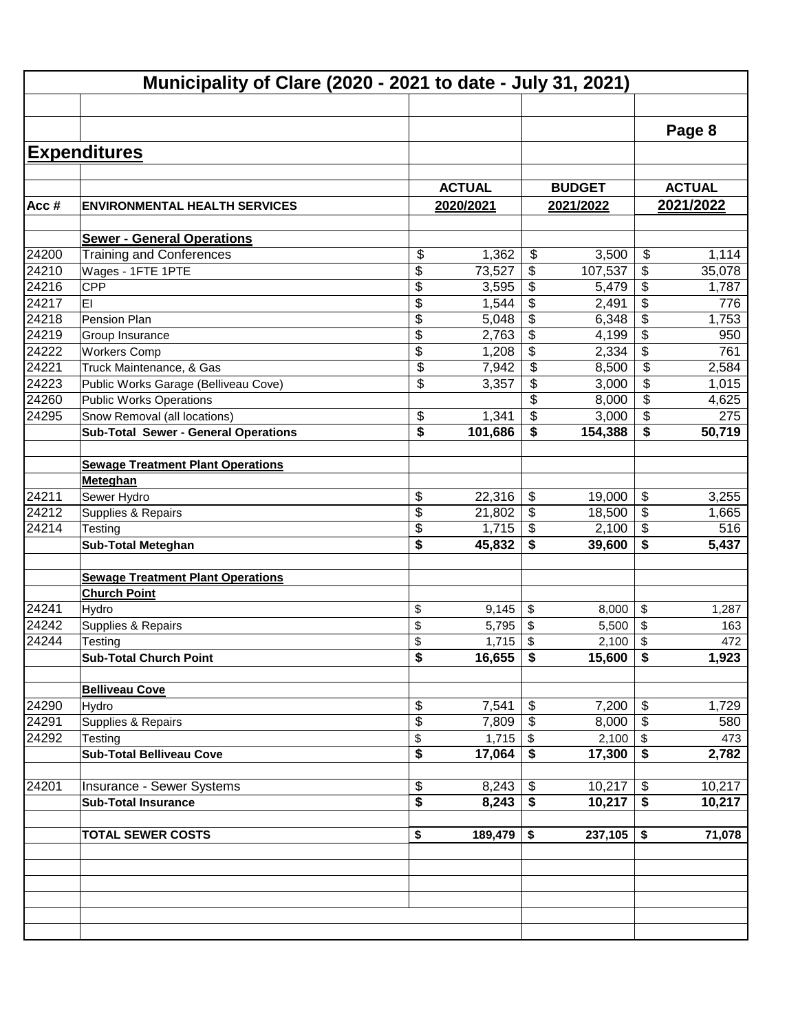|       | Municipality of Clare (2020 - 2021 to date - July 31, 2021)          |               |                         |               |                            |               |
|-------|----------------------------------------------------------------------|---------------|-------------------------|---------------|----------------------------|---------------|
|       |                                                                      |               |                         |               |                            |               |
|       |                                                                      |               |                         |               |                            | Page 8        |
|       | <b>Expenditures</b>                                                  |               |                         |               |                            |               |
|       |                                                                      |               |                         |               |                            |               |
|       |                                                                      | <b>ACTUAL</b> |                         | <b>BUDGET</b> |                            | <b>ACTUAL</b> |
| Acc#  | <b>ENVIRONMENTAL HEALTH SERVICES</b>                                 | 2020/2021     |                         | 2021/2022     |                            | 2021/2022     |
|       |                                                                      |               |                         |               |                            |               |
| 24200 | <b>Sewer - General Operations</b><br><b>Training and Conferences</b> | \$<br>1,362   | $\frac{1}{2}$           | 3,500         | \$                         | 1,114         |
| 24210 | Wages - 1FTE 1PTE                                                    | \$<br>73,527  | \$                      | 107,537       | \$                         | 35,078        |
| 24216 | CPP                                                                  | \$<br>3,595   | \$                      | 5,479         | \$                         | 1,787         |
| 24217 | EI                                                                   | \$<br>1,544   | \$                      | 2,491         | \$                         | 776           |
| 24218 | Pension Plan                                                         | \$<br>5,048   | \$                      | 6,348         | \$                         | 1,753         |
| 24219 | Group Insurance                                                      | \$<br>2,763   | \$                      | 4,199         | $\overline{\mathcal{G}}$   | 950           |
| 24222 | <b>Workers Comp</b>                                                  | \$<br>1,208   | \$                      | 2,334         | $\overline{\mathbf{e}}$    | 761           |
| 24221 | Truck Maintenance, & Gas                                             | \$<br>7,942   | $\overline{\mathbf{S}}$ | 8,500         | \$                         | 2,584         |
| 24223 | Public Works Garage (Belliveau Cove)                                 | \$<br>3,357   | \$                      | 3,000         | \$                         | 1,015         |
| 24260 | <b>Public Works Operations</b>                                       |               | \$                      | 8,000         | \$                         | 4,625         |
| 24295 | Snow Removal (all locations)                                         | \$<br>1,341   | \$                      | 3,000         | \$                         | 275           |
|       | <b>Sub-Total Sewer - General Operations</b>                          | \$<br>101,686 | \$                      | 154,388       | \$                         | 50,719        |
|       |                                                                      |               |                         |               |                            |               |
|       | <b>Sewage Treatment Plant Operations</b>                             |               |                         |               |                            |               |
|       | Meteghan                                                             |               |                         |               |                            |               |
| 24211 | Sewer Hydro                                                          | \$<br>22,316  | \$                      | 19,000        | \$                         | 3,255         |
| 24212 | Supplies & Repairs                                                   | \$<br>21,802  | \$                      | 18,500        | $\overline{\$}$            | 1,665         |
| 24214 | Testing                                                              | \$<br>1,715   | $\frac{1}{2}$           | 2,100         | $\overline{\$}$            | 516           |
|       | <b>Sub-Total Meteghan</b>                                            | \$<br>45,832  | \$                      | 39,600        | \$                         | 5,437         |
|       |                                                                      |               |                         |               |                            |               |
|       | <b>Sewage Treatment Plant Operations</b>                             |               |                         |               |                            |               |
|       | <b>Church Point</b>                                                  |               |                         |               |                            |               |
| 24241 | Hydro                                                                | \$<br>9,145   | \$                      | 8,000         | \$                         | 1,287         |
| 24242 | Supplies & Repairs                                                   | \$<br>5,795   | \$                      | 5,500         | \$                         | 163           |
| 24244 | Testing                                                              | \$<br>1,715   | \$                      | 2,100         | \$                         | 472           |
|       | <b>Sub-Total Church Point</b>                                        | \$<br>16,655  | \$                      | 15,600        | \$                         | 1,923         |
|       |                                                                      |               |                         |               |                            |               |
|       | <b>Belliveau Cove</b>                                                |               |                         |               |                            |               |
| 24290 | Hydro                                                                | \$<br>7,541   | \$                      | 7,200         | \$                         | 1,729         |
| 24291 | Supplies & Repairs                                                   | \$<br>7,809   | \$                      | 8,000         | $\boldsymbol{\mathsf{\$}}$ | 580           |
| 24292 | Testing                                                              | \$<br>1,715   | \$                      | 2,100         | \$                         | 473           |
|       | <b>Sub-Total Belliveau Cove</b>                                      | \$<br>17,064  | \$                      | 17,300        | \$                         | 2,782         |
|       |                                                                      |               |                         |               |                            |               |
| 24201 | Insurance - Sewer Systems                                            | \$<br>8,243   | \$                      | 10,217        | \$                         | 10,217        |
|       | <b>Sub-Total Insurance</b>                                           | \$<br>8,243   | \$                      | 10,217        | $\overline{\$}$            | 10,217        |
|       | <b>TOTAL SEWER COSTS</b>                                             | \$<br>189,479 | \$                      | 237,105       | \$                         | 71,078        |
|       |                                                                      |               |                         |               |                            |               |
|       |                                                                      |               |                         |               |                            |               |
|       |                                                                      |               |                         |               |                            |               |
|       |                                                                      |               |                         |               |                            |               |
|       |                                                                      |               |                         |               |                            |               |
|       |                                                                      |               |                         |               |                            |               |
|       |                                                                      |               |                         |               |                            |               |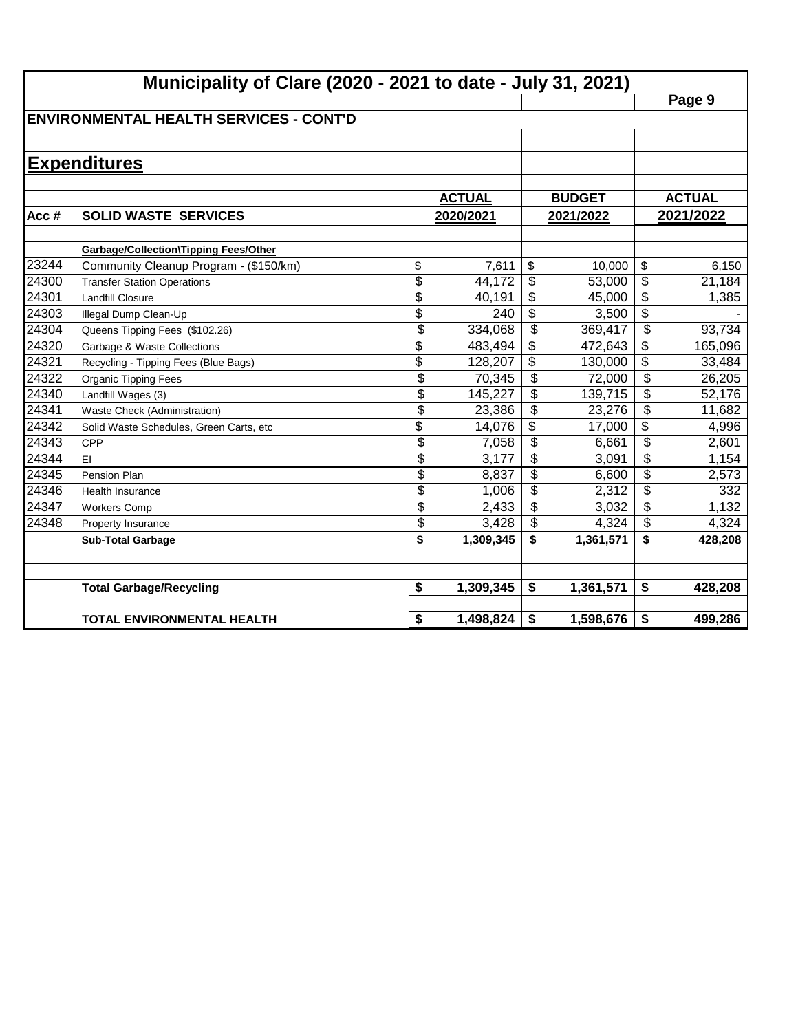|       | Municipality of Clare (2020 - 2021 to date - July 31, 2021) |                 |               |                           |               |                          |               |
|-------|-------------------------------------------------------------|-----------------|---------------|---------------------------|---------------|--------------------------|---------------|
|       |                                                             |                 |               |                           |               |                          | Page 9        |
|       | <b>ENVIRONMENTAL HEALTH SERVICES - CONT'D</b>               |                 |               |                           |               |                          |               |
|       |                                                             |                 |               |                           |               |                          |               |
|       | <b>Expenditures</b>                                         |                 |               |                           |               |                          |               |
|       |                                                             |                 |               |                           |               |                          |               |
|       |                                                             |                 | <b>ACTUAL</b> |                           | <b>BUDGET</b> |                          | <b>ACTUAL</b> |
| Acc#  | <b>SOLID WASTE SERVICES</b>                                 |                 | 2020/2021     |                           | 2021/2022     |                          | 2021/2022     |
|       |                                                             |                 |               |                           |               |                          |               |
|       | Garbage/Collection\Tipping Fees/Other                       |                 |               |                           |               |                          |               |
| 23244 | Community Cleanup Program - (\$150/km)                      | \$              | 7,611         | \$                        | 10,000        | \$                       | 6,150         |
| 24300 | <b>Transfer Station Operations</b>                          | \$              | 44,172        | \$                        | 53,000        | \$                       | 21,184        |
| 24301 | <b>Landfill Closure</b>                                     | $\overline{\$}$ | 40,191        | \$                        | 45,000        | $\overline{\$}$          | 1,385         |
| 24303 | Illegal Dump Clean-Up                                       | $\overline{\$}$ | 240           | \$                        | 3,500         | $\overline{\$}$          |               |
| 24304 | Queens Tipping Fees (\$102.26)                              | $\overline{\$}$ | 334,068       | $\overline{\mathcal{S}}$  | 369,417       | $\overline{\mathcal{L}}$ | 93,734        |
| 24320 | Garbage & Waste Collections                                 | \$              | 483,494       | \$                        | 472,643       | $\overline{\$}$          | 165,096       |
| 24321 | Recycling - Tipping Fees (Blue Bags)                        | \$              | 128,207       | \$                        | 130,000       | $\overline{\mathcal{L}}$ | 33,484        |
| 24322 | Organic Tipping Fees                                        | \$              | 70,345        | \$                        | 72,000        | $\overline{\mathcal{L}}$ | 26,205        |
| 24340 | Landfill Wages (3)                                          | \$              | 145,227       | \$                        | 139,715       | \$                       | 52,176        |
| 24341 | Waste Check (Administration)                                | \$              | 23,386        | \$                        | 23,276        | \$                       | 11,682        |
| 24342 | Solid Waste Schedules, Green Carts, etc                     | \$              | 14,076        | \$                        | 17,000        | \$                       | 4,996         |
| 24343 | <b>CPP</b>                                                  | \$              | 7,058         | $\boldsymbol{\mathsf{S}}$ | 6,661         | \$                       | 2,601         |
| 24344 | lEI                                                         | \$              | 3,177         | \$                        | 3,091         | \$                       | 1,154         |
| 24345 | Pension Plan                                                | \$              | 8,837         | \$                        | 6,600         | \$                       | 2,573         |
| 24346 | <b>Health Insurance</b>                                     | \$              | 1,006         | \$                        | 2,312         | \$                       | 332           |
| 24347 | <b>Workers Comp</b>                                         | \$              | 2,433         | \$                        | 3,032         | \$                       | 1,132         |
| 24348 | Property Insurance                                          | \$              | 3,428         | \$                        | 4,324         | \$                       | 4,324         |
|       | <b>Sub-Total Garbage</b>                                    | \$              | 1,309,345     | \$                        | 1,361,571     | \$                       | 428,208       |
|       |                                                             |                 |               |                           |               |                          |               |
|       | <b>Total Garbage/Recycling</b>                              | \$              | 1,309,345     | \$                        | 1,361,571     | \$                       | 428,208       |
|       |                                                             |                 |               |                           |               |                          |               |
|       | <b>TOTAL ENVIRONMENTAL HEALTH</b>                           | \$              | 1,498,824     | \$                        | 1,598,676     | \$                       | 499,286       |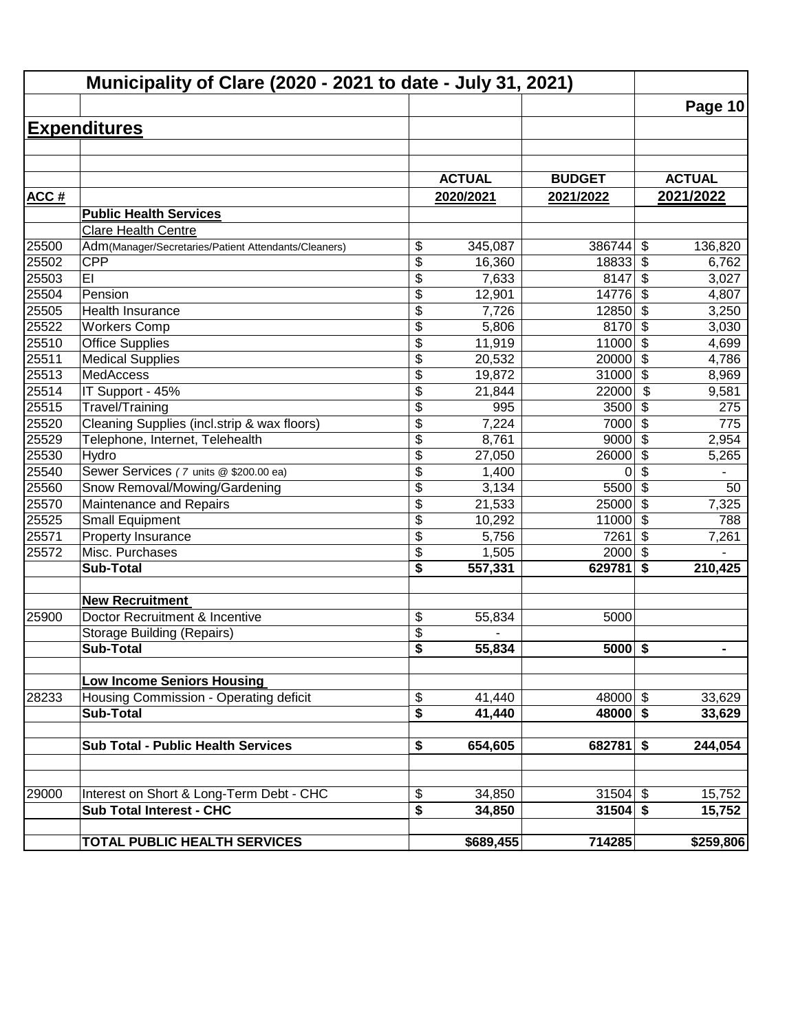|             | Municipality of Clare (2020 - 2021 to date - July 31, 2021) |                 |                  |                         |                           |                  |
|-------------|-------------------------------------------------------------|-----------------|------------------|-------------------------|---------------------------|------------------|
|             |                                                             |                 |                  |                         |                           | <b>Page 10</b>   |
|             | <b>Expenditures</b>                                         |                 |                  |                         |                           |                  |
|             |                                                             |                 |                  |                         |                           |                  |
|             |                                                             |                 |                  |                         |                           |                  |
|             |                                                             |                 | <b>ACTUAL</b>    | <b>BUDGET</b>           |                           | <b>ACTUAL</b>    |
| <b>ACC#</b> |                                                             |                 | 2020/2021        | 2021/2022               |                           | 2021/2022        |
|             | <b>Public Health Services</b>                               |                 |                  |                         |                           |                  |
|             | <b>Clare Health Centre</b>                                  |                 |                  |                         |                           |                  |
| 25500       | Adm(Manager/Secretaries/Patient Attendants/Cleaners)        | \$              | 345,087          | 386744                  | \$                        | 136,820          |
| 25502       | <b>CPP</b>                                                  | \$              | 16,360           | 18833                   | $\boldsymbol{\mathsf{S}}$ | 6,762            |
| 25503       | EI                                                          | \$              | 7,633            | 8147                    | \$                        | 3,027            |
| 25504       | Pension                                                     | \$              | 12,901           | 14776                   | \$                        | 4,807            |
| 25505       | Health Insurance                                            | \$              | 7,726            | 12850                   | \$                        | 3,250            |
| 25522       | <b>Workers Comp</b>                                         | \$              | 5,806            | 8170                    | $\overline{\mathbf{3}}$   | 3,030            |
| 25510       | Office Supplies                                             | $\overline{\$}$ | 11,919           | 11000                   | $\overline{\mathcal{S}}$  | 4,699            |
| 25511       | <b>Medical Supplies</b>                                     | $\overline{\$}$ | 20,532           | 20000                   | $\overline{\$}$           | 4,786            |
| 25513       | <b>MedAccess</b>                                            | \$              | 19,872           | 31000                   | $\overline{\$}$           | 8,969            |
| 25514       | IT Support - 45%                                            | \$              | 21,844           | 22000                   | $\overline{\$}$           | 9,581            |
| 25515       | Travel/Training                                             | \$              | 995              | 3500                    | \$                        | 275              |
| 25520       | Cleaning Supplies (incl.strip & wax floors)                 | \$              | 7,224            | 7000                    | \$                        | 775              |
| 25529       | Telephone, Internet, Telehealth                             | \$              | 8,761            | 9000                    | \$                        | 2,954            |
| 25530       | Hydro                                                       | \$              | 27,050           | 26000                   | \$                        | 5,265            |
| 25540       | Sewer Services (7 units @ \$200.00 ea)                      | \$              | 1,400            | 0                       | \$                        |                  |
| 25560       | Snow Removal/Mowing/Gardening                               | \$              | 3,134            | 5500                    | $\overline{\mathcal{L}}$  | 50               |
| 25570       | Maintenance and Repairs                                     | \$              | 21,533           | 25000                   | $\sqrt{3}$                | 7,325            |
| 25525       | <b>Small Equipment</b>                                      | \$              | 10,292           | 11000                   | $\boldsymbol{\mathsf{S}}$ | 788              |
| 25571       | Property Insurance                                          | \$              | 5,756            | 7261                    | \$                        | 7,261            |
| 25572       | Misc. Purchases                                             | \$              | 1,505            | 2000                    | $\sqrt{2}$                |                  |
|             | <b>Sub-Total</b>                                            | \$              | 557,331          | 629781                  | \$                        | 210,425          |
|             | <b>New Recruitment</b>                                      |                 |                  |                         |                           |                  |
| 25900       | Doctor Recruitment & Incentive                              | \$              | 55,834           | 5000                    |                           |                  |
|             | <b>Storage Building (Repairs)</b>                           | \$              |                  |                         |                           |                  |
|             | <b>Sub-Total</b>                                            | $\overline{\$}$ | 55,834           | $5000$ \$               |                           | $\blacksquare$   |
|             |                                                             |                 |                  |                         |                           |                  |
|             | <b>Low Income Seniors Housing</b>                           |                 |                  |                         |                           |                  |
| 28233       | Housing Commission - Operating deficit<br><b>Sub-Total</b>  | \$<br>\$        | 41,440<br>41,440 | 48000 $$$<br>$48000$ \$ |                           | 33,629<br>33,629 |
|             |                                                             |                 |                  |                         |                           |                  |
|             | <b>Sub Total - Public Health Services</b>                   | \$              | 654,605          | $682781$ \$             |                           | 244,054          |
|             |                                                             |                 |                  |                         |                           |                  |
| 29000       | Interest on Short & Long-Term Debt - CHC                    | \$              | 34,850           | $31504$ \$              |                           | 15,752           |
|             | <b>Sub Total Interest - CHC</b>                             | \$              | 34,850           | $31504$ \$              |                           | 15,752           |
|             |                                                             |                 |                  |                         |                           |                  |
|             | <b>TOTAL PUBLIC HEALTH SERVICES</b>                         |                 | \$689,455        | 714285                  |                           | \$259,806        |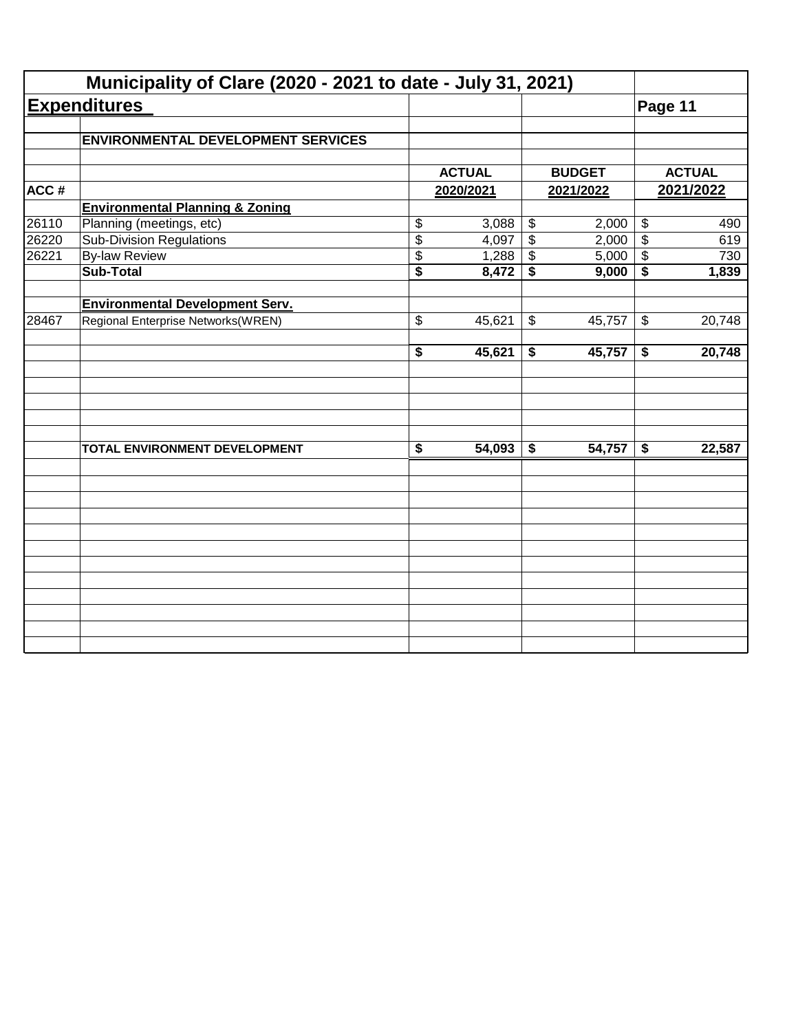|       | Municipality of Clare (2020 - 2021 to date - July 31, 2021) |               |                           |               |                            |               |
|-------|-------------------------------------------------------------|---------------|---------------------------|---------------|----------------------------|---------------|
|       | <b>Expenditures</b>                                         |               |                           |               | Page 11                    |               |
|       | <b>ENVIRONMENTAL DEVELOPMENT SERVICES</b>                   |               |                           |               |                            |               |
|       |                                                             |               |                           |               |                            |               |
|       |                                                             | <b>ACTUAL</b> |                           | <b>BUDGET</b> |                            | <b>ACTUAL</b> |
| ACC#  |                                                             | 2020/2021     |                           | 2021/2022     |                            | 2021/2022     |
|       | <b>Environmental Planning &amp; Zoning</b>                  |               |                           |               |                            |               |
| 26110 | Planning (meetings, etc)                                    | \$<br>3,088   | $\boldsymbol{\theta}$     | 2,000         | $\boldsymbol{\theta}$      | 490           |
| 26220 | <b>Sub-Division Regulations</b>                             | \$<br>4,097   | $\overline{\$}$           | 2,000         | $\overline{\$}$            | 619           |
| 26221 | <b>By-law Review</b>                                        | \$<br>1,288   | $\boldsymbol{\mathsf{S}}$ | 5,000         | $\frac{1}{2}$              | 730           |
|       | <b>Sub-Total</b>                                            | \$<br>8,472   | \$                        | 9,000         | \$                         | 1,839         |
|       | <b>Environmental Development Serv.</b>                      |               |                           |               |                            |               |
| 28467 | Regional Enterprise Networks(WREN)                          | \$<br>45,621  | $\boldsymbol{\mathsf{S}}$ | 45,757        | $\boldsymbol{\mathcal{F}}$ | 20,748        |
|       |                                                             | \$<br>45,621  | \$                        | 45,757        | \$                         | 20,748        |
|       |                                                             |               |                           |               |                            |               |
|       | TOTAL ENVIRONMENT DEVELOPMENT                               | \$<br>54,093  | \$                        | 54,757        | $\boldsymbol{\hat{z}}$     | 22,587        |
|       |                                                             |               |                           |               |                            |               |
|       |                                                             |               |                           |               |                            |               |
|       |                                                             |               |                           |               |                            |               |
|       |                                                             |               |                           |               |                            |               |
|       |                                                             |               |                           |               |                            |               |
|       |                                                             |               |                           |               |                            |               |
|       |                                                             |               |                           |               |                            |               |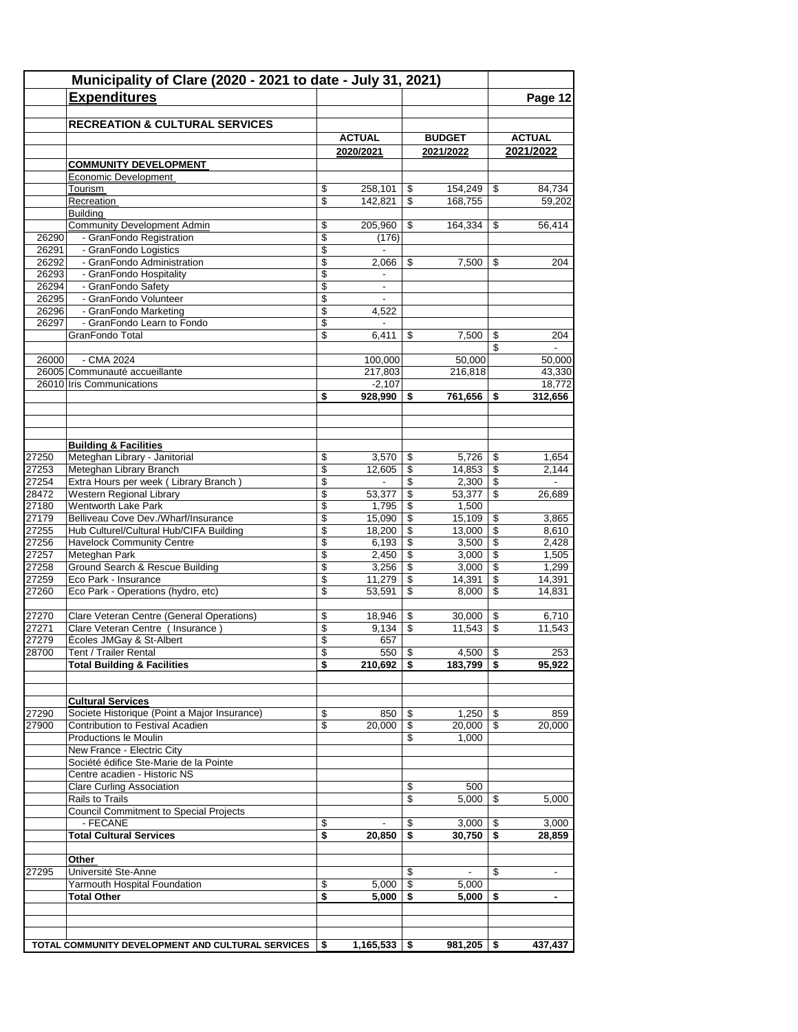|                | Municipality of Clare (2020 - 2021 to date - July 31, 2021)<br><b>Expenditures</b> |                          |                                    |            |                            |                                 | Page 12                    |
|----------------|------------------------------------------------------------------------------------|--------------------------|------------------------------------|------------|----------------------------|---------------------------------|----------------------------|
|                |                                                                                    |                          |                                    |            |                            |                                 |                            |
|                | <b>RECREATION &amp; CULTURAL SERVICES</b>                                          |                          |                                    |            |                            |                                 |                            |
|                |                                                                                    |                          | <b>ACTUAL</b><br>2020/2021         |            | <b>BUDGET</b><br>2021/2022 |                                 | <b>ACTUAL</b><br>2021/2022 |
|                | <b>COMMUNITY DEVELOPMENT</b>                                                       |                          |                                    |            |                            |                                 |                            |
|                | Economic Development                                                               |                          |                                    |            |                            |                                 |                            |
|                | Tourism                                                                            | \$                       | 258,101                            | \$         | 154,249                    | \$                              | 84,734                     |
|                | Recreation<br><b>Building</b>                                                      | \$                       | 142,821                            | \$         | 168.755                    |                                 | 59,202                     |
|                | <b>Community Development Admin</b>                                                 | \$                       | 205,960                            | \$         | 164,334                    | \$                              | 56,414                     |
| 26290          | - GranFondo Registration                                                           | \$                       | (176)                              |            |                            |                                 |                            |
| 26291          | - GranFondo Logistics                                                              | \$                       | $\mathbf{r}$                       |            |                            |                                 |                            |
| 26292<br>26293 | - GranFondo Administration<br>- GranFondo Hospitality                              | \$<br>\$                 | 2,066                              | \$         | 7,500                      | \$                              | 204                        |
| 26294          | - GranFondo Safety                                                                 | \$                       | $\overline{\phantom{a}}$           |            |                            |                                 |                            |
| 26295          | - GranFondo Volunteer                                                              | \$                       |                                    |            |                            |                                 |                            |
| 26296          | - GranFondo Marketing                                                              | \$                       | 4,522                              |            |                            |                                 |                            |
| 26297          | - GranFondo Learn to Fondo                                                         | \$                       | $\overline{\phantom{a}}$           |            |                            |                                 |                            |
|                | GranFondo Total                                                                    | \$                       | 6,411                              | \$         | 7,500                      | \$<br>\$                        | 204                        |
| 26000          | - CMA 2024                                                                         |                          | 100.000                            |            | 50,000                     |                                 | 50,000                     |
|                | 26005 Communauté accueillante                                                      |                          | 217,803                            |            | 216,818                    |                                 | 43,330                     |
|                | 26010 Iris Communications                                                          |                          | $-2,107$                           |            |                            |                                 | 18,772                     |
|                |                                                                                    | \$                       | 928,990                            | \$         | 761,656                    | \$                              | 312,656                    |
|                |                                                                                    |                          |                                    |            |                            |                                 |                            |
|                | <b>Building &amp; Facilities</b>                                                   |                          |                                    |            |                            |                                 |                            |
| 27250          | Meteghan Library - Janitorial                                                      | \$                       | 3,570                              | \$         |                            |                                 | 1,654                      |
| 27253          | Meteghan Library Branch                                                            | $\overline{\mathcal{L}}$ | 12,605                             | \$         | $14,853$ \$                |                                 | 2,144                      |
| 27254<br>28472 | Extra Hours per week (Library Branch)<br><b>Western Regional Library</b>           | \$<br>\$                 | $\overline{\phantom{a}}$<br>53,377 | \$<br>\$   | 53,377                     | \$                              | 26,689                     |
| 27180          | Wentworth Lake Park                                                                | \$                       | 1,795                              | \$         | 1,500                      |                                 |                            |
| 27179          | Belliveau Cove Dev./Wharf/Insurance                                                | \$                       | 15,090                             | \$         | 15,109                     | \$                              | 3,865                      |
| 27255          | Hub Culturel/Cultural Hub/CIFA Building                                            | \$                       | 18,200                             | \$         | $13,000$ \ \$              |                                 | 8,610                      |
| 27256          | <b>Havelock Community Centre</b>                                                   | \$                       | 6,193                              | \$         | $3,500$ \$                 |                                 | 2,428                      |
| 27257          | Meteghan Park                                                                      | \$                       | 2,450                              | \$         | 3,000                      | $\mathfrak{S}$                  | 1,505                      |
| 27258<br>27259 | Ground Search & Rescue Building<br>Eco Park - Insurance                            | \$<br>\$                 | 3,256<br>11,279                    | \$<br>\$   | 3,000<br>14,391            | \$<br>$\mathfrak s$             | 1,299<br>14,391            |
| 27260          | Eco Park - Operations (hydro, etc)                                                 | \$                       | 53,591                             | \$         | 8,000                      | $\mathfrak{s}$                  | 14,831                     |
|                |                                                                                    |                          |                                    |            |                            |                                 |                            |
| 27270<br>27271 | Clare Veteran Centre (General Operations)<br>Clare Veteran Centre ( Insurance )    | \$<br>\$                 | 18,946<br>9,134                    | \$<br>\$   | 30,000<br>11,543           | \$<br>$\boldsymbol{\mathsf{S}}$ | 6,710<br>11,543            |
| 27279          | Écoles JMGay & St-Albert                                                           | \$                       | 657                                |            |                            |                                 |                            |
| 28700          | Tent / Trailer Rental                                                              | \$                       | $550$ \ \$                         |            | $4,500$ \$                 |                                 | 253                        |
|                | <b>Total Building &amp; Facilities</b>                                             | \$                       | $210,692$   \$                     |            | $183,799$   \$             |                                 | 95,922                     |
|                | <b>Cultural Services</b>                                                           |                          |                                    |            |                            |                                 |                            |
| 27290          | Societe Historique (Point a Major Insurance)                                       | \$                       | 850                                | \$         | $1,250$   \$               |                                 | 859                        |
| 27900          | Contribution to Festival Acadien                                                   | \$                       | 20,000                             | \$         | $20,000$ \ \$              |                                 | 20,000                     |
|                | Productions le Moulin<br>New France - Electric City                                |                          |                                    | \$         | 1,000                      |                                 |                            |
|                | Société édifice Ste-Marie de la Pointe                                             |                          |                                    |            |                            |                                 |                            |
|                | Centre acadien - Historic NS                                                       |                          |                                    |            |                            |                                 |                            |
|                | <b>Clare Curling Association</b>                                                   |                          |                                    | \$         | 500                        |                                 |                            |
|                | Rails to Trails                                                                    |                          |                                    | \$         | 5.000                      | \$                              | 5,000                      |
|                | <b>Council Commitment to Special Projects</b>                                      |                          |                                    |            |                            |                                 |                            |
|                | - FECANE                                                                           | \$                       |                                    | \$         | $3,000$   \$               |                                 | 3,000                      |
|                | <b>Total Cultural Services</b>                                                     | \$                       | 20,850                             | \$         | $30,750$ \$                |                                 | 28,859                     |
| 27295          | Other<br>Université Ste-Anne                                                       |                          |                                    | \$         |                            | \$                              |                            |
|                | Yarmouth Hospital Foundation                                                       | \$                       | 5,000                              | $\sqrt{3}$ | 5,000                      |                                 |                            |
|                | <b>Total Other</b>                                                                 | \$                       | 5,000                              | -\$        | 5,000                      | -\$                             | $\blacksquare$             |
|                |                                                                                    |                          |                                    |            |                            |                                 |                            |
|                |                                                                                    |                          |                                    |            |                            |                                 |                            |